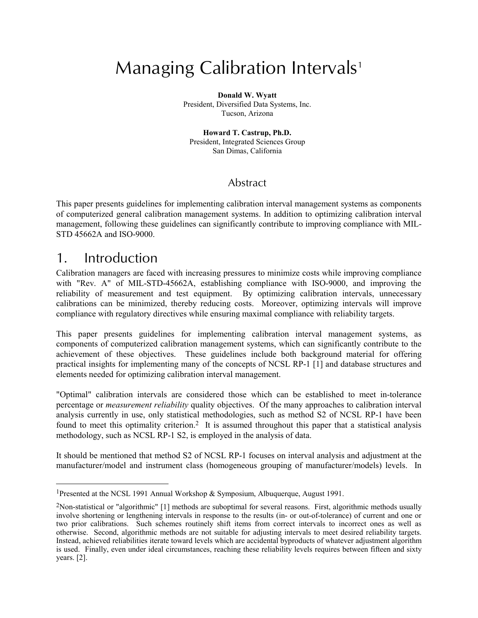# Managing Calibration Intervals<sup>1</sup>

**Donald W. Wyatt** President, Diversified Data Systems, Inc. Tucson, Arizona

**Howard T. Castrup, Ph.D.** President, Integrated Sciences Group San Dimas, California

## Abstract

This paper presents guidelines for implementing calibration interval management systems as components of computerized general calibration management systems. In addition to optimizing calibration interval management, following these guidelines can significantly contribute to improving compliance with MIL-STD 45662A and ISO-9000.

## 1. Introduction

l

Calibration managers are faced with increasing pressures to minimize costs while improving compliance with "Rev. A" of MIL-STD-45662A, establishing compliance with ISO-9000, and improving the reliability of measurement and test equipment. By optimizing calibration intervals, unnecessary calibrations can be minimized, thereby reducing costs. Moreover, optimizing intervals will improve compliance with regulatory directives while ensuring maximal compliance with reliability targets.

This paper presents guidelines for implementing calibration interval management systems, as components of computerized calibration management systems, which can significantly contribute to the achievement of these objectives. These guidelines include both background material for offering practical insights for implementing many of the concepts of NCSL RP-1 [1] and database structures and elements needed for optimizing calibration interval management.

"Optimal" calibration intervals are considered those which can be established to meet in-tolerance percentage or *measurement reliability* quality objectives. Of the many approaches to calibration interval analysis currently in use, only statistical methodologies, such as method S2 of NCSL RP-1 have been found to meet this optimality criterion.<sup>2</sup> It is assumed throughout this paper that a statistical analysis methodology, such as NCSL RP-1 S2, is employed in the analysis of data.

It should be mentioned that method S2 of NCSL RP-1 focuses on interval analysis and adjustment at the manufacturer/model and instrument class (homogeneous grouping of manufacturer/models) levels. In

<sup>1</sup>Presented at the NCSL 1991 Annual Workshop & Symposium, Albuquerque, August 1991.

<sup>2</sup>Non-statistical or "algorithmic" [1] methods are suboptimal for several reasons. First, algorithmic methods usually involve shortening or lengthening intervals in response to the results (in- or out-of-tolerance) of current and one or two prior calibrations. Such schemes routinely shift items from correct intervals to incorrect ones as well as otherwise. Second, algorithmic methods are not suitable for adjusting intervals to meet desired reliability targets. Instead, achieved reliabilities iterate toward levels which are accidental byproducts of whatever adjustment algorithm is used. Finally, even under ideal circumstances, reaching these reliability levels requires between fifteen and sixty years. [2].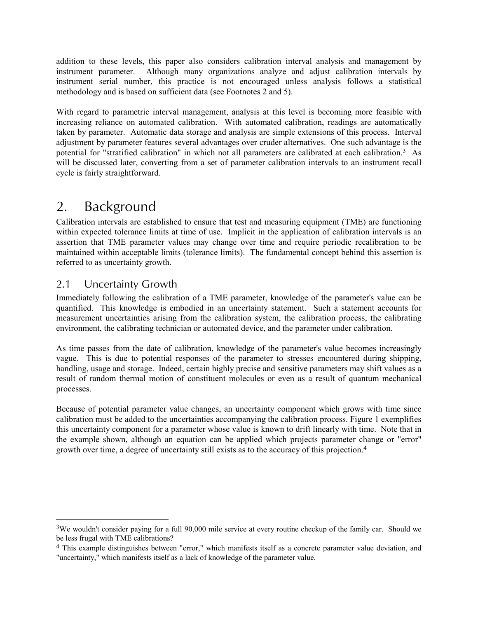addition to these levels, this paper also considers calibration interval analysis and management by instrument parameter. Although many organizations analyze and adjust calibration intervals by instrument serial number, this practice is not encouraged unless analysis follows a statistical methodology and is based on sufficient data (see Footnotes 2 and 5).

With regard to parametric interval management, analysis at this level is becoming more feasible with increasing reliance on automated calibration. With automated calibration, readings are automatically taken by parameter. Automatic data storage and analysis are simple extensions of this process. Interval adjustment by parameter features several advantages over cruder alternatives. One such advantage is the potential for "stratified calibration" in which not all parameters are calibrated at each calibration.3 As will be discussed later, converting from a set of parameter calibration intervals to an instrument recall cycle is fairly straightforward.

## 2. Background

Calibration intervals are established to ensure that test and measuring equipment (TME) are functioning within expected tolerance limits at time of use. Implicit in the application of calibration intervals is an assertion that TME parameter values may change over time and require periodic recalibration to be maintained within acceptable limits (tolerance limits). The fundamental concept behind this assertion is referred to as uncertainty growth.

## 2.1 Uncertainty Growth

l

Immediately following the calibration of a TME parameter, knowledge of the parameter's value can be quantified. This knowledge is embodied in an uncertainty statement. Such a statement accounts for measurement uncertainties arising from the calibration system, the calibration process, the calibrating environment, the calibrating technician or automated device, and the parameter under calibration.

As time passes from the date of calibration, knowledge of the parameter's value becomes increasingly vague. This is due to potential responses of the parameter to stresses encountered during shipping, handling, usage and storage. Indeed, certain highly precise and sensitive parameters may shift values as a result of random thermal motion of constituent molecules or even as a result of quantum mechanical processes.

Because of potential parameter value changes, an uncertainty component which grows with time since calibration must be added to the uncertainties accompanying the calibration process. Figure 1 exemplifies this uncertainty component for a parameter whose value is known to drift linearly with time. Note that in the example shown, although an equation can be applied which projects parameter change or "error" growth over time, a degree of uncertainty still exists as to the accuracy of this projection.4

<sup>&</sup>lt;sup>3</sup>We wouldn't consider paying for a full 90,000 mile service at every routine checkup of the family car. Should we be less frugal with TME calibrations?

<sup>&</sup>lt;sup>4</sup> This example distinguishes between "error," which manifests itself as a concrete parameter value deviation, and "uncertainty," which manifests itself as a lack of knowledge of the parameter value.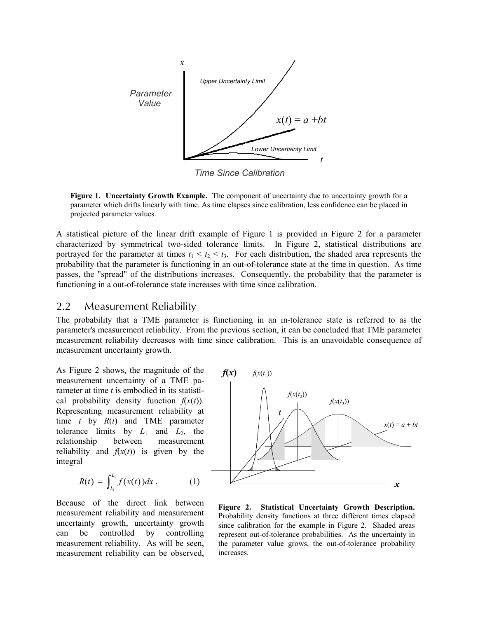

*Time Since Calibration*

**Figure 1. Uncertainty Growth Example.** The component of uncertainty due to uncertainty growth for a parameter which drifts linearly with time. As time elapses since calibration, less confidence can be placed in projected parameter values.

A statistical picture of the linear drift example of Figure 1 is provided in Figure 2 for a parameter characterized by symmetrical two-sided tolerance limits. In Figure 2, statistical distributions are portrayed for the parameter at times  $t_1 < t_2 < t_3$ . For each distribution, the shaded area represents the probability that the parameter is functioning in an out-of-tolerance state at the time in question. As time passes, the "spread" of the distributions increases. Consequently, the probability that the parameter is functioning in a out-of-tolerance state increases with time since calibration.

#### 2.2 Measurement Reliability

The probability that a TME parameter is functioning in an in-tolerance state is referred to as the parameter's measurement reliability. From the previous section, it can be concluded that TME parameter measurement reliability decreases with time since calibration. This is an unavoidable consequence of measurement uncertainty growth.

As Figure 2 shows, the magnitude of the measurement uncertainty of a TME parameter at time *t* is embodied in its statistical probability density function  $f(x(t))$ . Representing measurement reliability at time *t* by *R*(*t*) and TME parameter tolerance limits by  $L_1$  and  $L_2$ , the relationship between measurement reliability and  $f(x(t))$  is given by the integral

$$
R(t) = \int_{L_1}^{L_2} f(x(t)) dx . \qquad (1)
$$

Because of the direct link between measurement reliability and measurement uncertainty growth, uncertainty growth can be controlled by controlling measurement reliability. As will be seen, measurement reliability can be observed,



**Figure 2. Statistical Uncertainty Growth Description.**  Probability density functions at three different times elapsed since calibration for the example in Figure 2. Shaded areas represent out-of-tolerance probabilities. As the uncertainty in the parameter value grows, the out-of-tolerance probability increases.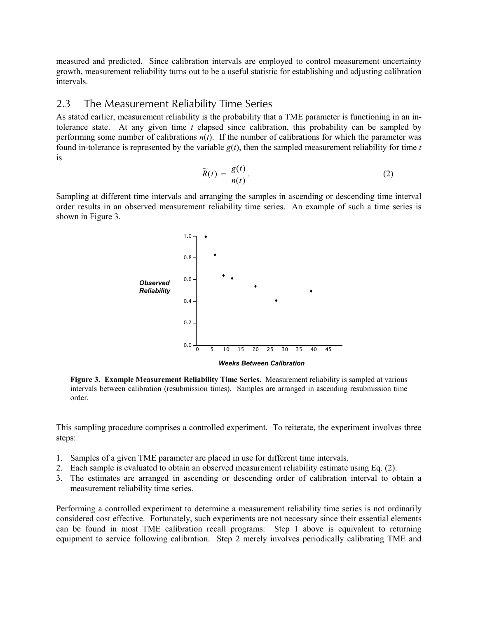measured and predicted. Since calibration intervals are employed to control measurement uncertainty growth, measurement reliability turns out to be a useful statistic for establishing and adjusting calibration intervals.

#### 2.3 The Measurement Reliability Time Series

As stated earlier, measurement reliability is the probability that a TME parameter is functioning in an intolerance state. At any given time *t* elapsed since calibration, this probability can be sampled by performing some number of calibrations  $n(t)$ . If the number of calibrations for which the parameter was found in-tolerance is represented by the variable  $g(t)$ , then the sampled measurement reliability for time  $t$ is

$$
\widetilde{R}(t) = \frac{g(t)}{n(t)}.
$$
\n(2)

Sampling at different time intervals and arranging the samples in ascending or descending time interval order results in an observed measurement reliability time series. An example of such a time series is shown in Figure 3.



**Figure 3. Example Measurement Reliability Time Series.** Measurement reliability is sampled at various intervals between calibration (resubmission times). Samples are arranged in ascending resubmission time order.

This sampling procedure comprises a controlled experiment. To reiterate, the experiment involves three steps:

- 1. Samples of a given TME parameter are placed in use for different time intervals.
- 2. Each sample is evaluated to obtain an observed measurement reliability estimate using Eq. (2).
- 3. The estimates are arranged in ascending or descending order of calibration interval to obtain a measurement reliability time series.

Performing a controlled experiment to determine a measurement reliability time series is not ordinarily considered cost effective. Fortunately, such experiments are not necessary since their essential elements can be found in most TME calibration recall programs: Step 1 above is equivalent to returning equipment to service following calibration. Step 2 merely involves periodically calibrating TME and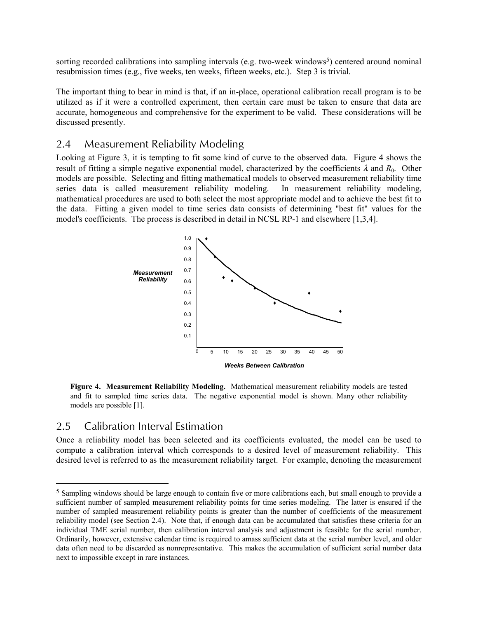sorting recorded calibrations into sampling intervals (e.g. two-week windows<sup>5</sup>) centered around nominal resubmission times (e.g., five weeks, ten weeks, fifteen weeks, etc.). Step 3 is trivial.

The important thing to bear in mind is that, if an in-place, operational calibration recall program is to be utilized as if it were a controlled experiment, then certain care must be taken to ensure that data are accurate, homogeneous and comprehensive for the experiment to be valid. These considerations will be discussed presently.

### 2.4 Measurement Reliability Modeling

Looking at Figure 3, it is tempting to fit some kind of curve to the observed data. Figure 4 shows the result of fitting a simple negative exponential model, characterized by the coefficients  $\lambda$  and  $R_0$ . Other models are possible. Selecting and fitting mathematical models to observed measurement reliability time series data is called measurement reliability modeling. In measurement reliability modeling, mathematical procedures are used to both select the most appropriate model and to achieve the best fit to the data. Fitting a given model to time series data consists of determining "best fit" values for the model's coefficients. The process is described in detail in NCSL RP-1 and elsewhere [1,3,4].



**Figure 4. Measurement Reliability Modeling.** Mathematical measurement reliability models are tested and fit to sampled time series data. The negative exponential model is shown. Many other reliability models are possible [1].

### 2.5 Calibration Interval Estimation

l

Once a reliability model has been selected and its coefficients evaluated, the model can be used to compute a calibration interval which corresponds to a desired level of measurement reliability. This desired level is referred to as the measurement reliability target. For example, denoting the measurement

<sup>5</sup> Sampling windows should be large enough to contain five or more calibrations each, but small enough to provide a sufficient number of sampled measurement reliability points for time series modeling. The latter is ensured if the number of sampled measurement reliability points is greater than the number of coefficients of the measurement reliability model (see Section 2.4). Note that, if enough data can be accumulated that satisfies these criteria for an individual TME serial number, then calibration interval analysis and adjustment is feasible for the serial number. Ordinarily, however, extensive calendar time is required to amass sufficient data at the serial number level, and older data often need to be discarded as nonrepresentative. This makes the accumulation of sufficient serial number data next to impossible except in rare instances.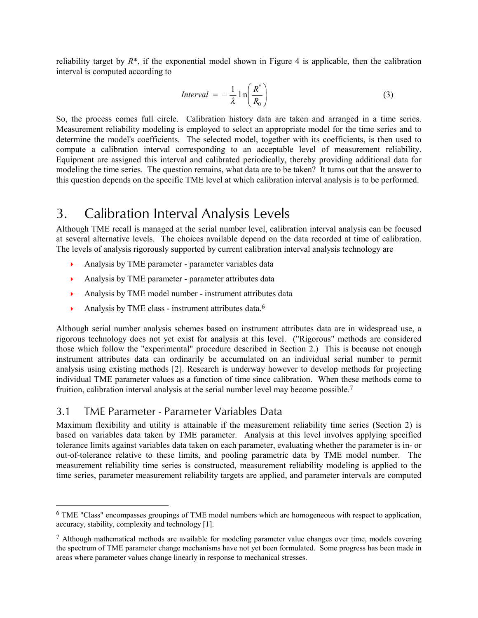reliability target by  $R^*$ , if the exponential model shown in Figure 4 is applicable, then the calibration interval is computed according to

$$
Interval = -\frac{1}{\lambda} \ln \left( \frac{R^*}{R_0} \right) \tag{3}
$$

So, the process comes full circle. Calibration history data are taken and arranged in a time series. Measurement reliability modeling is employed to select an appropriate model for the time series and to determine the model's coefficients. The selected model, together with its coefficients, is then used to compute a calibration interval corresponding to an acceptable level of measurement reliability. Equipment are assigned this interval and calibrated periodically, thereby providing additional data for modeling the time series. The question remains, what data are to be taken? It turns out that the answer to this question depends on the specific TME level at which calibration interval analysis is to be performed.

## 3. Calibration Interval Analysis Levels

Although TME recall is managed at the serial number level, calibration interval analysis can be focused at several alternative levels. The choices available depend on the data recorded at time of calibration. The levels of analysis rigorously supported by current calibration interval analysis technology are

- $\mathbf{F}$ Analysis by TME parameter - parameter variables data
- $\mathbf{F}^{\dagger}$ Analysis by TME parameter - parameter attributes data
- -Analysis by TME model number - instrument attributes data
- $\mathbf{F}$ Analysis by TME class - instrument attributes data.6

Although serial number analysis schemes based on instrument attributes data are in widespread use, a rigorous technology does not yet exist for analysis at this level. ("Rigorous" methods are considered those which follow the "experimental" procedure described in Section 2.) This is because not enough instrument attributes data can ordinarily be accumulated on an individual serial number to permit analysis using existing methods [2]. Research is underway however to develop methods for projecting individual TME parameter values as a function of time since calibration. When these methods come to fruition, calibration interval analysis at the serial number level may become possible.7

## 3.1 TME Parameter - Parameter Variables Data

l

Maximum flexibility and utility is attainable if the measurement reliability time series (Section 2) is based on variables data taken by TME parameter. Analysis at this level involves applying specified tolerance limits against variables data taken on each parameter, evaluating whether the parameter is in- or out-of-tolerance relative to these limits, and pooling parametric data by TME model number. The measurement reliability time series is constructed, measurement reliability modeling is applied to the time series, parameter measurement reliability targets are applied, and parameter intervals are computed

<sup>6</sup> TME "Class" encompasses groupings of TME model numbers which are homogeneous with respect to application, accuracy, stability, complexity and technology [1].

 $<sup>7</sup>$  Although mathematical methods are available for modeling parameter value changes over time, models covering</sup> the spectrum of TME parameter change mechanisms have not yet been formulated. Some progress has been made in areas where parameter values change linearly in response to mechanical stresses.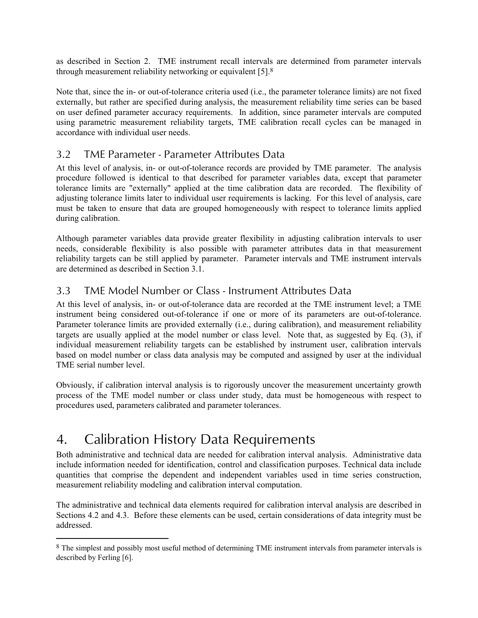as described in Section 2. TME instrument recall intervals are determined from parameter intervals through measurement reliability networking or equivalent [5].8

Note that, since the in- or out-of-tolerance criteria used (i.e., the parameter tolerance limits) are not fixed externally, but rather are specified during analysis, the measurement reliability time series can be based on user defined parameter accuracy requirements. In addition, since parameter intervals are computed using parametric measurement reliability targets, TME calibration recall cycles can be managed in accordance with individual user needs.

### 3.2 TME Parameter - Parameter Attributes Data

At this level of analysis, in- or out-of-tolerance records are provided by TME parameter. The analysis procedure followed is identical to that described for parameter variables data, except that parameter tolerance limits are "externally" applied at the time calibration data are recorded. The flexibility of adjusting tolerance limits later to individual user requirements is lacking. For this level of analysis, care must be taken to ensure that data are grouped homogeneously with respect to tolerance limits applied during calibration.

Although parameter variables data provide greater flexibility in adjusting calibration intervals to user needs, considerable flexibility is also possible with parameter attributes data in that measurement reliability targets can be still applied by parameter. Parameter intervals and TME instrument intervals are determined as described in Section 3.1.

## 3.3 TME Model Number or Class - Instrument Attributes Data

At this level of analysis, in- or out-of-tolerance data are recorded at the TME instrument level; a TME instrument being considered out-of-tolerance if one or more of its parameters are out-of-tolerance. Parameter tolerance limits are provided externally (i.e., during calibration), and measurement reliability targets are usually applied at the model number or class level. Note that, as suggested by Eq. (3), if individual measurement reliability targets can be established by instrument user, calibration intervals based on model number or class data analysis may be computed and assigned by user at the individual TME serial number level.

Obviously, if calibration interval analysis is to rigorously uncover the measurement uncertainty growth process of the TME model number or class under study, data must be homogeneous with respect to procedures used, parameters calibrated and parameter tolerances.

## 4. Calibration History Data Requirements

l

Both administrative and technical data are needed for calibration interval analysis. Administrative data include information needed for identification, control and classification purposes. Technical data include quantities that comprise the dependent and independent variables used in time series construction, measurement reliability modeling and calibration interval computation.

The administrative and technical data elements required for calibration interval analysis are described in Sections 4.2 and 4.3. Before these elements can be used, certain considerations of data integrity must be addressed.

<sup>8</sup> The simplest and possibly most useful method of determining TME instrument intervals from parameter intervals is described by Ferling [6].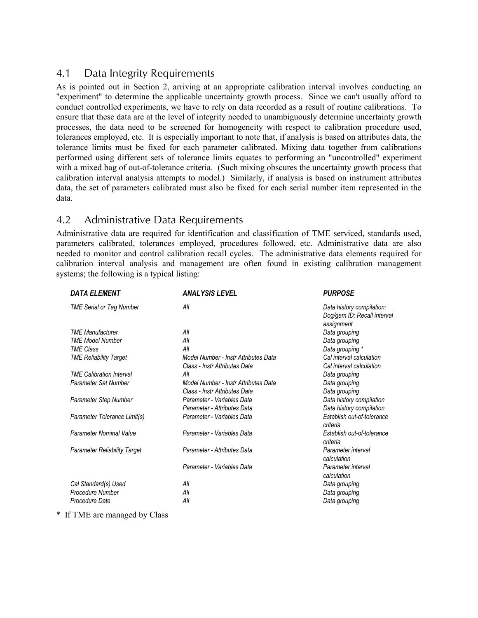## 4.1 Data Integrity Requirements

As is pointed out in Section 2, arriving at an appropriate calibration interval involves conducting an "experiment" to determine the applicable uncertainty growth process. Since we can't usually afford to conduct controlled experiments, we have to rely on data recorded as a result of routine calibrations. To ensure that these data are at the level of integrity needed to unambiguously determine uncertainty growth processes, the data need to be screened for homogeneity with respect to calibration procedure used, tolerances employed, etc. It is especially important to note that, if analysis is based on attributes data, the tolerance limits must be fixed for each parameter calibrated. Mixing data together from calibrations performed using different sets of tolerance limits equates to performing an "uncontrolled" experiment with a mixed bag of out-of-tolerance criteria. (Such mixing obscures the uncertainty growth process that calibration interval analysis attempts to model.) Similarly, if analysis is based on instrument attributes data, the set of parameters calibrated must also be fixed for each serial number item represented in the data.

## 4.2 Administrative Data Requirements

Administrative data are required for identification and classification of TME serviced, standards used, parameters calibrated, tolerances employed, procedures followed, etc. Administrative data are also needed to monitor and control calibration recall cycles. The administrative data elements required for calibration interval analysis and management are often found in existing calibration management systems; the following is a typical listing:

|                                                                                   | <b>PURPOSE</b>                                           |
|-----------------------------------------------------------------------------------|----------------------------------------------------------|
| All<br><b>TME Serial or Tag Number</b><br>assignment                              | Data history compilation;<br>Dog/gem ID; Recall interval |
| <b>TME Manufacturer</b><br>All                                                    | Data grouping                                            |
| All<br><b>TME Model Number</b>                                                    | Data grouping                                            |
| All<br><b>TME Class</b>                                                           | Data grouping *                                          |
| Model Number - Instr Attributes Data<br><b>TME Reliability Target</b>             | Cal interval calculation                                 |
| Class - Instr Attributes Data                                                     | Cal interval calculation                                 |
| <b>TME Calibration Interval</b><br>All                                            | Data grouping                                            |
| Parameter Set Number<br>Model Number - Instr Attributes Data                      | Data grouping                                            |
| Class - Instr Attributes Data                                                     | Data grouping                                            |
| Parameter - Variables Data<br>Parameter Step Number                               | Data history compilation                                 |
| Parameter - Attributes Data                                                       | Data history compilation                                 |
| Parameter Tolerance Limit(s)<br>Parameter - Variables Data<br>criteria            | Establish out-of-tolerance                               |
| Parameter Nominal Value<br>Parameter - Variables Data<br>criteria                 | Establish out-of-tolerance                               |
| Parameter - Attributes Data<br><b>Parameter Reliability Target</b><br>calculation | Parameter interval                                       |
| Parameter - Variables Data<br>calculation                                         | Parameter interval                                       |
| Cal Standard(s) Used<br>All                                                       | Data grouping                                            |
| Procedure Number<br>All                                                           | Data grouping                                            |
| All<br>Procedure Date                                                             | Data grouping                                            |

\* If TME are managed by Class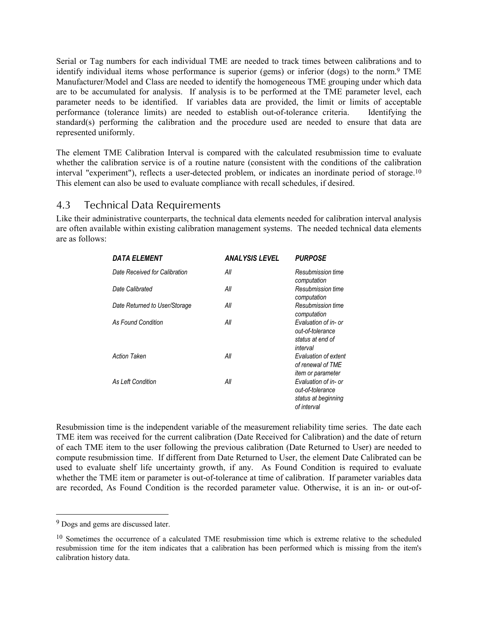Serial or Tag numbers for each individual TME are needed to track times between calibrations and to identify individual items whose performance is superior (gems) or inferior (dogs) to the norm.9 TME Manufacturer/Model and Class are needed to identify the homogeneous TME grouping under which data are to be accumulated for analysis. If analysis is to be performed at the TME parameter level, each parameter needs to be identified. If variables data are provided, the limit or limits of acceptable performance (tolerance limits) are needed to establish out-of-tolerance criteria. Identifying the standard(s) performing the calibration and the procedure used are needed to ensure that data are represented uniformly.

The element TME Calibration Interval is compared with the calculated resubmission time to evaluate whether the calibration service is of a routine nature (consistent with the conditions of the calibration interval "experiment"), reflects a user-detected problem, or indicates an inordinate period of storage.10 This element can also be used to evaluate compliance with recall schedules, if desired.

### 4.3 Technical Data Requirements

Like their administrative counterparts, the technical data elements needed for calibration interval analysis are often available within existing calibration management systems. The needed technical data elements are as follows:

| <b>DATA ELEMENT</b>           | <b>ANALYSIS LEVEL</b> | <b>PURPOSE</b>                                                                 |
|-------------------------------|-----------------------|--------------------------------------------------------------------------------|
| Date Received for Calibration | All                   | Resubmission time<br>computation                                               |
| Date Calibrated               | All                   | Resubmission time<br>computation                                               |
| Date Returned to User/Storage | All                   | Resubmission time<br>computation                                               |
| <b>As Found Condition</b>     | All                   | Evaluation of in- or<br>out-of-tolerance<br>status at end of<br>interval       |
| <b>Action Taken</b>           | All                   | Evaluation of extent<br>of renewal of TME<br>item or parameter                 |
| As Left Condition             | All                   | Evaluation of in- or<br>out-of-tolerance<br>status at beginning<br>of interval |

Resubmission time is the independent variable of the measurement reliability time series. The date each TME item was received for the current calibration (Date Received for Calibration) and the date of return of each TME item to the user following the previous calibration (Date Returned to User) are needed to compute resubmission time. If different from Date Returned to User, the element Date Calibrated can be used to evaluate shelf life uncertainty growth, if any. As Found Condition is required to evaluate whether the TME item or parameter is out-of-tolerance at time of calibration. If parameter variables data are recorded, As Found Condition is the recorded parameter value. Otherwise, it is an in- or out-of-

l

<sup>&</sup>lt;sup>9</sup> Dogs and gems are discussed later.

<sup>&</sup>lt;sup>10</sup> Sometimes the occurrence of a calculated TME resubmission time which is extreme relative to the scheduled resubmission time for the item indicates that a calibration has been performed which is missing from the item's calibration history data.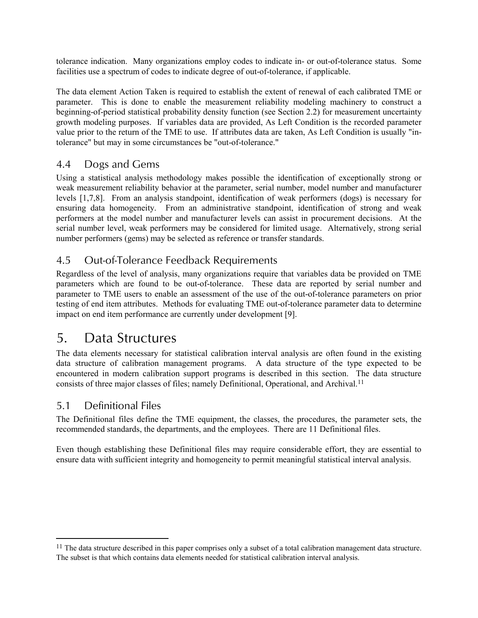tolerance indication. Many organizations employ codes to indicate in- or out-of-tolerance status. Some facilities use a spectrum of codes to indicate degree of out-of-tolerance, if applicable.

The data element Action Taken is required to establish the extent of renewal of each calibrated TME or parameter. This is done to enable the measurement reliability modeling machinery to construct a beginning-of-period statistical probability density function (see Section 2.2) for measurement uncertainty growth modeling purposes. If variables data are provided, As Left Condition is the recorded parameter value prior to the return of the TME to use. If attributes data are taken, As Left Condition is usually "intolerance" but may in some circumstances be "out-of-tolerance."

## 4.4 Dogs and Gems

Using a statistical analysis methodology makes possible the identification of exceptionally strong or weak measurement reliability behavior at the parameter, serial number, model number and manufacturer levels [1,7,8]. From an analysis standpoint, identification of weak performers (dogs) is necessary for ensuring data homogeneity. From an administrative standpoint, identification of strong and weak performers at the model number and manufacturer levels can assist in procurement decisions. At the serial number level, weak performers may be considered for limited usage. Alternatively, strong serial number performers (gems) may be selected as reference or transfer standards.

## 4.5 Out-of-Tolerance Feedback Requirements

Regardless of the level of analysis, many organizations require that variables data be provided on TME parameters which are found to be out-of-tolerance. These data are reported by serial number and parameter to TME users to enable an assessment of the use of the out-of-tolerance parameters on prior testing of end item attributes. Methods for evaluating TME out-of-tolerance parameter data to determine impact on end item performance are currently under development [9].

## 5. Data Structures

The data elements necessary for statistical calibration interval analysis are often found in the existing data structure of calibration management programs. A data structure of the type expected to be encountered in modern calibration support programs is described in this section. The data structure consists of three major classes of files; namely Definitional, Operational, and Archival.11

## 5.1 Definitional Files

l

The Definitional files define the TME equipment, the classes, the procedures, the parameter sets, the recommended standards, the departments, and the employees. There are 11 Definitional files.

Even though establishing these Definitional files may require considerable effort, they are essential to ensure data with sufficient integrity and homogeneity to permit meaningful statistical interval analysis.

 $11$  The data structure described in this paper comprises only a subset of a total calibration management data structure. The subset is that which contains data elements needed for statistical calibration interval analysis.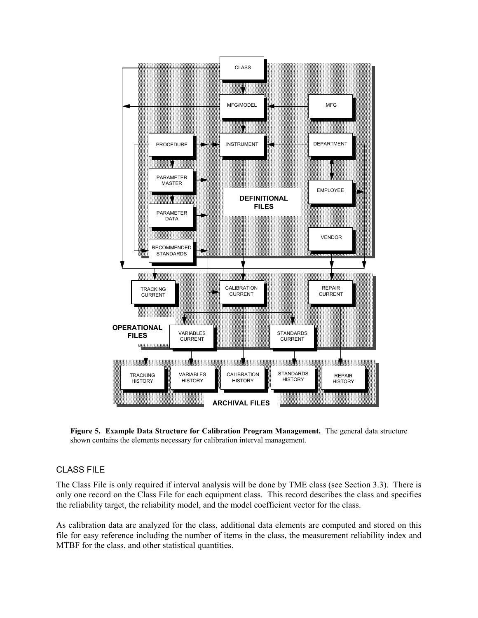

**Figure 5. Example Data Structure for Calibration Program Management.** The general data structure shown contains the elements necessary for calibration interval management.

#### CLASS FILE

The Class File is only required if interval analysis will be done by TME class (see Section 3.3). There is only one record on the Class File for each equipment class. This record describes the class and specifies the reliability target, the reliability model, and the model coefficient vector for the class.

As calibration data are analyzed for the class, additional data elements are computed and stored on this file for easy reference including the number of items in the class, the measurement reliability index and MTBF for the class, and other statistical quantities.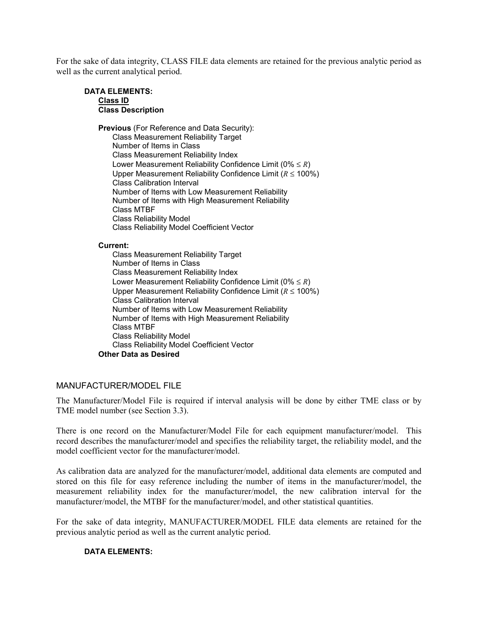For the sake of data integrity, CLASS FILE data elements are retained for the previous analytic period as well as the current analytical period.

#### **DATA ELEMENTS: Class ID Class Description**

**Previous** (For Reference and Data Security):

Class Measurement Reliability Target Number of Items in Class Class Measurement Reliability Index Lower Measurement Reliability Confidence Limit (0% ≤ *R*) Upper Measurement Reliability Confidence Limit (*R* ≤ 100%) Class Calibration Interval Number of Items with Low Measurement Reliability Number of Items with High Measurement Reliability Class MTBF Class Reliability Model Class Reliability Model Coefficient Vector

#### **Current:**

Class Measurement Reliability Target Number of Items in Class Class Measurement Reliability Index Lower Measurement Reliability Confidence Limit (0% ≤ *R*) Upper Measurement Reliability Confidence Limit (*R* ≤ 100%) Class Calibration Interval Number of Items with Low Measurement Reliability Number of Items with High Measurement Reliability Class MTBF Class Reliability Model Class Reliability Model Coefficient Vector **Other Data as Desired**

#### MANUFACTURER/MODEL FILE

The Manufacturer/Model File is required if interval analysis will be done by either TME class or by TME model number (see Section 3.3).

There is one record on the Manufacturer/Model File for each equipment manufacturer/model. This record describes the manufacturer/model and specifies the reliability target, the reliability model, and the model coefficient vector for the manufacturer/model.

As calibration data are analyzed for the manufacturer/model, additional data elements are computed and stored on this file for easy reference including the number of items in the manufacturer/model, the measurement reliability index for the manufacturer/model, the new calibration interval for the manufacturer/model, the MTBF for the manufacturer/model, and other statistical quantities.

For the sake of data integrity, MANUFACTURER/MODEL FILE data elements are retained for the previous analytic period as well as the current analytic period.

#### **DATA ELEMENTS:**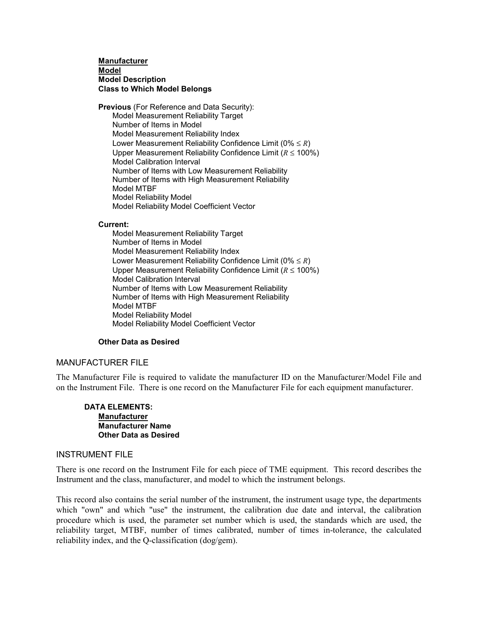#### **Manufacturer Model Model Description Class to Which Model Belongs**

**Previous** (For Reference and Data Security): Model Measurement Reliability Target Number of Items in Model Model Measurement Reliability Index Lower Measurement Reliability Confidence Limit (0% ≤ *R*) Upper Measurement Reliability Confidence Limit (*R* ≤ 100%) Model Calibration Interval Number of Items with Low Measurement Reliability Number of Items with High Measurement Reliability Model MTBF Model Reliability Model Model Reliability Model Coefficient Vector

#### **Current:**

Model Measurement Reliability Target Number of Items in Model Model Measurement Reliability Index Lower Measurement Reliability Confidence Limit (0% ≤ *R*) Upper Measurement Reliability Confidence Limit (*R* ≤ 100%) Model Calibration Interval Number of Items with Low Measurement Reliability Number of Items with High Measurement Reliability Model MTBF Model Reliability Model Model Reliability Model Coefficient Vector

#### **Other Data as Desired**

#### MANUFACTURER FILE

The Manufacturer File is required to validate the manufacturer ID on the Manufacturer/Model File and on the Instrument File. There is one record on the Manufacturer File for each equipment manufacturer.

#### **DATA ELEMENTS: Manufacturer Manufacturer Name Other Data as Desired**

#### INSTRUMENT FILE

There is one record on the Instrument File for each piece of TME equipment. This record describes the Instrument and the class, manufacturer, and model to which the instrument belongs.

This record also contains the serial number of the instrument, the instrument usage type, the departments which "own" and which "use" the instrument, the calibration due date and interval, the calibration procedure which is used, the parameter set number which is used, the standards which are used, the reliability target, MTBF, number of times calibrated, number of times in-tolerance, the calculated reliability index, and the Q-classification (dog/gem).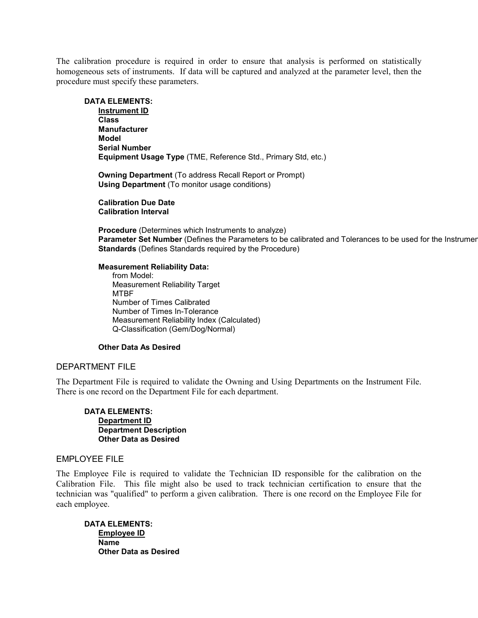The calibration procedure is required in order to ensure that analysis is performed on statistically homogeneous sets of instruments. If data will be captured and analyzed at the parameter level, then the procedure must specify these parameters.

#### **DATA ELEMENTS:**

**Instrument ID Class Manufacturer Model Serial Number Equipment Usage Type** (TME, Reference Std., Primary Std, etc.)

**Owning Department** (To address Recall Report or Prompt) **Using Department** (To monitor usage conditions)

**Calibration Due Date Calibration Interval**

**Procedure** (Determines which Instruments to analyze) **Parameter Set Number** (Defines the Parameters to be calibrated and Tolerances to be used for the Instrumen **Standards** (Defines Standards required by the Procedure)

#### **Measurement Reliability Data:**

from Model: Measurement Reliability Target MTBF Number of Times Calibrated Number of Times In-Tolerance Measurement Reliability Index (Calculated) Q-Classification (Gem/Dog/Normal)

#### **Other Data As Desired**

#### DEPARTMENT FILE

The Department File is required to validate the Owning and Using Departments on the Instrument File. There is one record on the Department File for each department.

**DATA ELEMENTS: Department ID Department Description Other Data as Desired**

#### EMPLOYEE FILE

The Employee File is required to validate the Technician ID responsible for the calibration on the Calibration File. This file might also be used to track technician certification to ensure that the technician was "qualified" to perform a given calibration. There is one record on the Employee File for each employee.

**DATA ELEMENTS: Employee ID Name Other Data as Desired**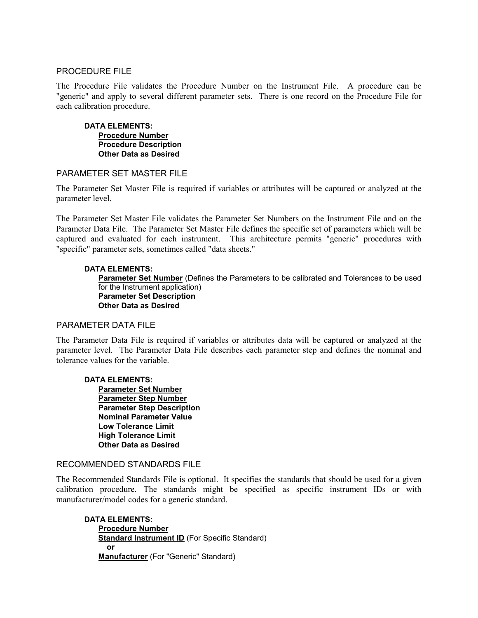#### PROCEDURE FILE

The Procedure File validates the Procedure Number on the Instrument File. A procedure can be "generic" and apply to several different parameter sets. There is one record on the Procedure File for each calibration procedure.

**DATA ELEMENTS: Procedure Number Procedure Description Other Data as Desired**

#### PARAMETER SET MASTER FILE

The Parameter Set Master File is required if variables or attributes will be captured or analyzed at the parameter level.

The Parameter Set Master File validates the Parameter Set Numbers on the Instrument File and on the Parameter Data File. The Parameter Set Master File defines the specific set of parameters which will be captured and evaluated for each instrument. This architecture permits "generic" procedures with "specific" parameter sets, sometimes called "data sheets."

#### **DATA ELEMENTS:**

**Parameter Set Number** (Defines the Parameters to be calibrated and Tolerances to be used for the Instrument application) **Parameter Set Description Other Data as Desired**

#### PARAMETER DATA FILE

The Parameter Data File is required if variables or attributes data will be captured or analyzed at the parameter level. The Parameter Data File describes each parameter step and defines the nominal and tolerance values for the variable.

#### **DATA ELEMENTS:**

**Parameter Set Number Parameter Step Number Parameter Step Description Nominal Parameter Value Low Tolerance Limit High Tolerance Limit Other Data as Desired**

#### RECOMMENDED STANDARDS FILE

The Recommended Standards File is optional. It specifies the standards that should be used for a given calibration procedure. The standards might be specified as specific instrument IDs or with manufacturer/model codes for a generic standard.

**DATA ELEMENTS: Procedure Number Standard Instrument ID** (For Specific Standard)  **or Manufacturer** (For "Generic" Standard)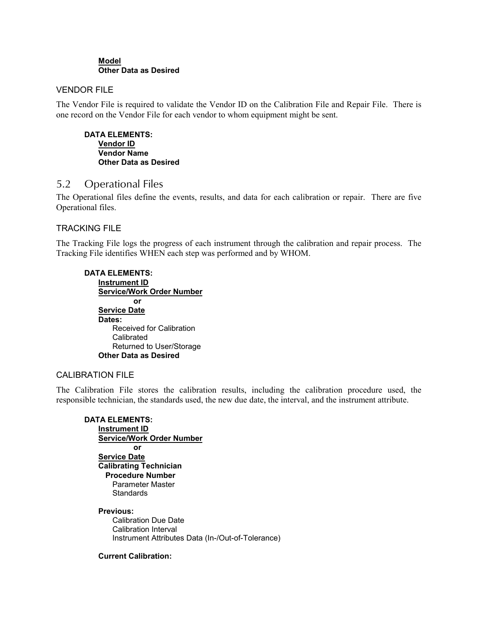#### **Model Other Data as Desired**

#### VENDOR FILE

The Vendor File is required to validate the Vendor ID on the Calibration File and Repair File. There is one record on the Vendor File for each vendor to whom equipment might be sent.

**DATA ELEMENTS: Vendor ID Vendor Name Other Data as Desired**

### 5.2 Operational Files

The Operational files define the events, results, and data for each calibration or repair. There are five Operational files.

#### TRACKING FILE

The Tracking File logs the progress of each instrument through the calibration and repair process. The Tracking File identifies WHEN each step was performed and by WHOM.

| <b>DATA ELEMENTS:</b>            |
|----------------------------------|
| Instrument ID                    |
| <b>Service/Work Order Number</b> |
| Ωr                               |
| <b>Service Date</b>              |
| Dates:                           |
| Received for Calibration         |
| Calibrated                       |
| Returned to User/Storage         |
| Other Data as Desired            |

#### CALIBRATION FILE

The Calibration File stores the calibration results, including the calibration procedure used, the responsible technician, the standards used, the new due date, the interval, and the instrument attribute.

**DATA ELEMENTS: Instrument ID Service/Work Order Number or Service Date Calibrating Technician Procedure Number** Parameter Master **Standards Previous:**

Calibration Due Date Calibration Interval Instrument Attributes Data (In-/Out-of-Tolerance)

#### **Current Calibration:**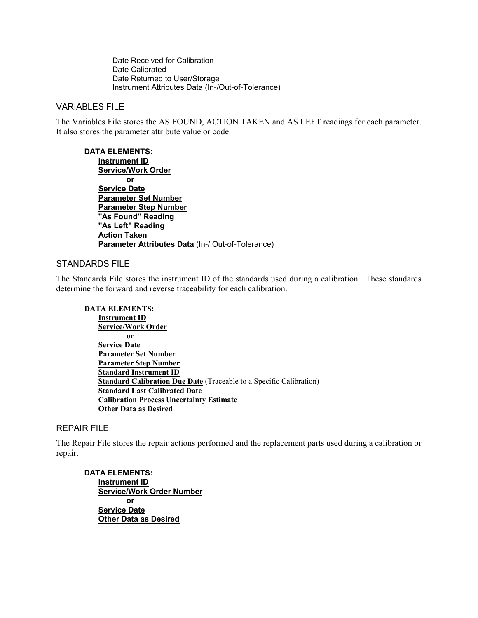Date Received for Calibration Date Calibrated Date Returned to User/Storage Instrument Attributes Data (In-/Out-of-Tolerance)

#### VARIABLES FILE

The Variables File stores the AS FOUND, ACTION TAKEN and AS LEFT readings for each parameter. It also stores the parameter attribute value or code.

**DATA ELEMENTS: Instrument ID Service/Work Order or Service Date Parameter Set Number Parameter Step Number "As Found" Reading "As Left" Reading Action Taken Parameter Attributes Data** (In-/ Out-of-Tolerance)

#### STANDARDS FILE

The Standards File stores the instrument ID of the standards used during a calibration. These standards determine the forward and reverse traceability for each calibration.

#### **DATA ELEMENTS: Instrument ID Service/Work Order or Service Date**

**Parameter Set Number Parameter Step Number Standard Instrument ID Standard Calibration Due Date** (Traceable to a Specific Calibration) **Standard Last Calibrated Date Calibration Process Uncertainty Estimate Other Data as Desired**

#### REPAIR FILE

The Repair File stores the repair actions performed and the replacement parts used during a calibration or repair.

**DATA ELEMENTS: Instrument ID Service/Work Order Number or Service Date Other Data as Desired**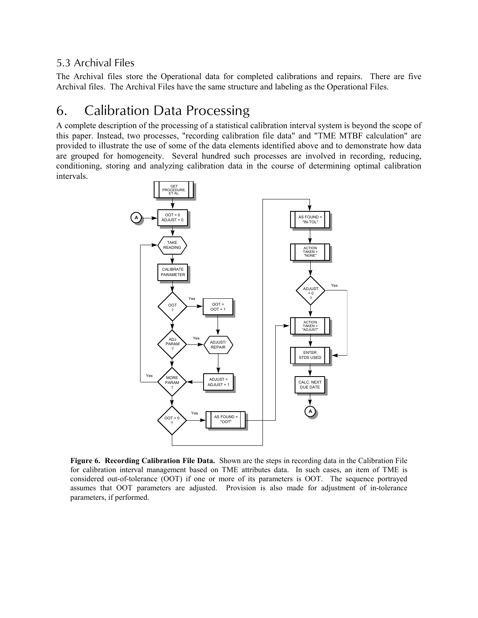### 5.3 Archival Files

The Archival files store the Operational data for completed calibrations and repairs. There are five Archival files. The Archival Files have the same structure and labeling as the Operational Files.

## 6. Calibration Data Processing

A complete description of the processing of a statistical calibration interval system is beyond the scope of this paper. Instead, two processes, "recording calibration file data" and "TME MTBF calculation" are provided to illustrate the use of some of the data elements identified above and to demonstrate how data are grouped for homogeneity. Several hundred such processes are involved in recording, reducing, conditioning, storing and analyzing calibration data in the course of determining optimal calibration intervals.



**Figure 6. Recording Calibration File Data.** Shown are the steps in recording data in the Calibration File for calibration interval management based on TME attributes data. In such cases, an item of TME is considered out-of-tolerance (OOT) if one or more of its parameters is OOT. The sequence portrayed assumes that OOT parameters are adjusted. Provision is also made for adjustment of in-tolerance parameters, if performed.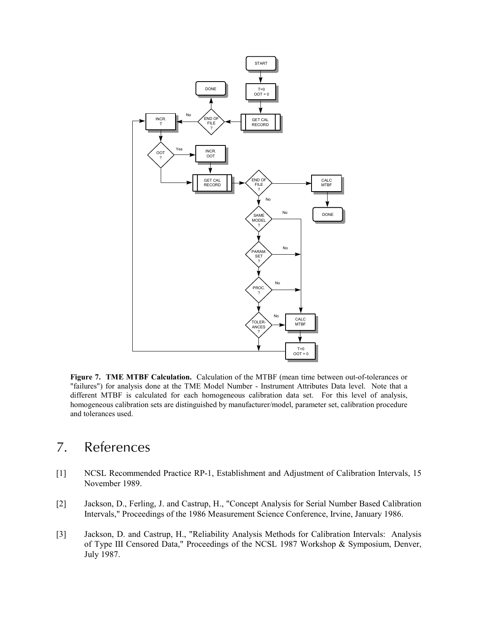

**Figure 7. TME MTBF Calculation.** Calculation of the MTBF (mean time between out-of-tolerances or "failures") for analysis done at the TME Model Number - Instrument Attributes Data level. Note that a different MTBF is calculated for each homogeneous calibration data set. For this level of analysis, homogeneous calibration sets are distinguished by manufacturer/model, parameter set, calibration procedure and tolerances used.

## 7. References

- [1] NCSL Recommended Practice RP-1, Establishment and Adjustment of Calibration Intervals, 15 November 1989.
- [2] Jackson, D., Ferling, J. and Castrup, H., "Concept Analysis for Serial Number Based Calibration Intervals," Proceedings of the 1986 Measurement Science Conference, Irvine, January 1986.
- [3] Jackson, D. and Castrup, H., "Reliability Analysis Methods for Calibration Intervals: Analysis of Type III Censored Data," Proceedings of the NCSL 1987 Workshop & Symposium, Denver, July 1987.